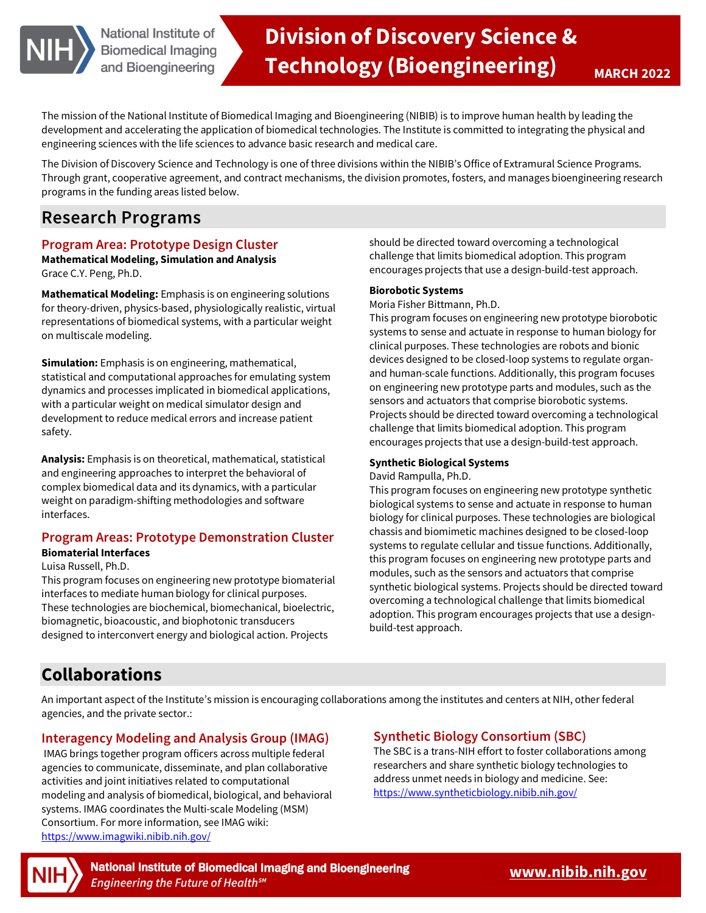

The mission of the National Institute of Biomedical Imaging and Bioengineering (NIBIB) is to improve human health by leading the development and accelerating the application of biomedical technologies. The Institute is committed to integrating the physical and engineering sciences with the life sciences to advance basic research and medical care.

The Division of Discovery Science and Technology is one of three divisions within the NIBIB's Office of Extramural Science Programs. Through grant, cooperative agreement, and contract mechanisms, the division promotes, fosters, and manages bioengineering research programs in the funding areas listed below.

## **Research Programs**

## **Program Area: Prototype Design Cluster**

#### **Mathematical Modeling, Simulation and Analysis** Grace C.Y. Peng, Ph.D.

**Mathematical Modeling:** Emphasis is on engineering solutions for theory-driven, physics-based, physiologically realistic, virtual representations of biomedical systems, with a particular weight on multiscale modeling.

**Simulation:** Emphasis is on engineering, mathematical, statistical and computational approaches for emulating system dynamics and processes implicated in biomedical applications, with a particular weight on medical simulator design and development to reduce medical errors and increase patient safety.

**Analysis:** Emphasis is on theoretical, mathematical, statistical and engineering approaches to interpret the behavioral of complex biomedical data and its dynamics, with a particular weight on paradigm-shifting methodologies and software interfaces.

### **Program Areas: Prototype Demonstration Cluster**

### **Biomaterial Interfaces**

#### Luisa Russell, Ph.D.

This program focuses on engineering new prototype biomaterial interfaces to mediate human biology for clinical purposes. These technologies are biochemical, biomechanical, bioelectric, biomagnetic, bioacoustic, and biophotonic transducers designed to interconvert energy and biological action. Projects

should be directed toward overcoming a technological challenge that limits biomedical adoption. This program encourages projects that use a design-build-test approach.

#### **Biorobotic Systems**

Moria Fisher Bittmann, Ph.D.

This program focuses on engineering new prototype biorobotic systems to sense and actuate in response to human biology for clinical purposes. These technologies are robots and bionic devices designed to be closed-loop systems to regulate organand human-scale functions. Additionally, this program focuses on engineering new prototype parts and modules, such as the sensors and actuators that comprise biorobotic systems. Projects should be directed toward overcoming a technological challenge that limits biomedical adoption. This program encourages projects that use a design-build-test approach.

#### **Synthetic Biological Systems**

David Rampulla, Ph.D.

This program focuses on engineering new prototype synthetic biological systems to sense and actuate in response to human biology for clinical purposes. These technologies are biological chassis and biomimetic machines designed to be closed-loop systems to regulate cellular and tissue functions. Additionally, this program focuses on engineering new prototype parts and modules, such as the sensors and actuators that comprise synthetic biological systems. Projects should be directed toward overcoming a technological challenge that limits biomedical adoption. This program encourages projects that use a designbuild-test approach.

# **Collaborations**

An important aspect of the Institute's mission is encouraging collaborations among the institutes and centers at NIH, other federal agencies, and the private sector.:

## **Interagency Modeling and Analysis Group (IMAG)**

IMAG brings together program officers across multiple federal agencies to communicate, disseminate, and plan collaborative activities and joint initiatives related to computational modeling and analysis of biomedical, biological, and behavioral systems. IMAG coordinates the Multi-scale Modeling (MSM) Consortium. For more information, see IMAG wiki: <https://www.imagwiki.nibib.nih.gov/>

## **Synthetic Biology Consortium (SBC)**

The SBC is a trans-NIH effort to foster collaborations among researchers and share synthetic biology technologies to address unmet needs in biology and medicine. See: <https://www.syntheticbiology.nibib.nih.gov/>



National Institute of Biomedical Imaging and Bioengineering Engineering the Future of Health<sup>sM</sup>